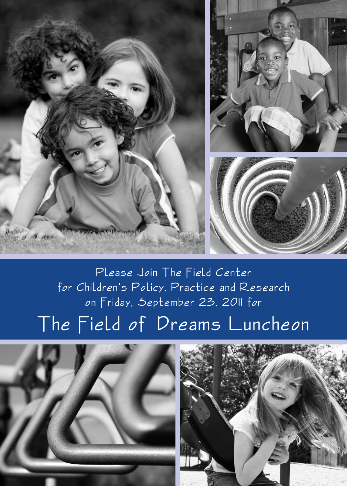

# Please Join The Field Center for Children's Policy, Practice and Research on Friday, September 23, 2011 for The Field of Dreams Luncheon



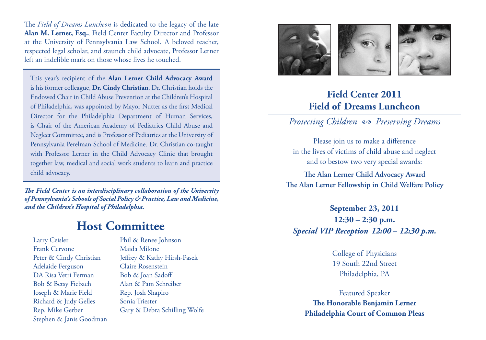The *Field of Dreams Luncheon* is dedicated to the legacy of the late **Alan M. Lerner, Esq.**, Field Center Faculty Director and Professor at the University of Pennsylvania Law School. A beloved teacher, respected legal scholar, and staunch child advocate, Professor Lerner left an indelible mark on those whose lives he touched.

This year's recipient of the **Alan Lerner Child Advocacy Award** is his former colleague, **Dr. Cindy Christian**. Dr. Christian holds the Endowed Chair in Child Abuse Prevention at the Children's Hospital of Philadelphia, was appointed by Mayor Nutter as the first Medical Director for the Philadelphia Department of Human Services, is Chair of the American Academy of Pediatrics Child Abuse and Neglect Committee, and is Professor of Pediatrics at the University of Pennsylvania Perelman School of Medicine. Dr. Christian co-taught with Professor Lerner in the Child Advocacy Clinic that brought together law, medical and social work students to learn and practice child advocacy.

*The Field Center is an interdisciplinary collaboration of the University of Pennsylvania's Schools of Social Policy & Practice, Law and Medicine, and the Children's Hospital of Philadelphia.*

## **Host Committee**

Larry Ceisler Frank Cervone Peter & Cindy Christian Adelaide Ferguson DA Risa Vetri Ferman Bob & Betsy Fiebach Joseph & Marie Field Richard & Judy Gelles Rep. Mike Gerber Stephen & Janis Goodman

Phil & Renee Johnson Maida Milone Jeffrey & Kathy Hirsh-Pasek Claire Rosenstein Bob & Joan Sadoff Alan & Pam Schreiber Rep. Josh Shapiro Sonia Triester Gary & Debra Schilling Wolfe



### **Field Center 2011 Field of Dreams Luncheon**

*Protecting Children 2 Preserving Dreams*

Please join us to make a difference in the lives of victims of child abuse and neglect and to bestow two very special awards:

**The Alan Lerner Child Advocacy Award The Alan Lerner Fellowship in Child Welfare Policy**

**September 23, 2011 12:30 – 2:30 p.m.** *Special VIP Reception 12:00* **–** *12:30 p.m.*

> College of Physicians 19 South 22nd Street Philadelphia, PA

Featured Speaker **The Honorable Benjamin Lerner Philadelphia Court of Common Pleas**